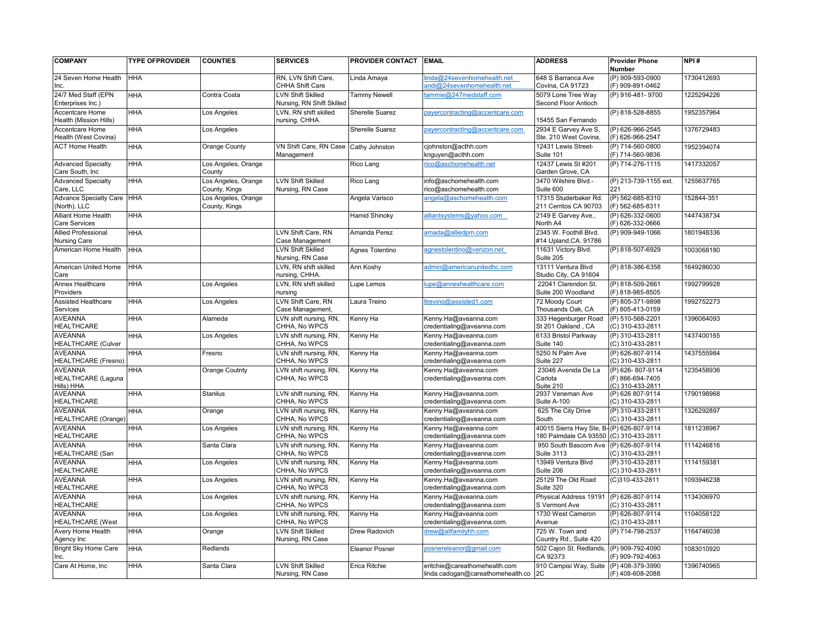| <b>COMPANY</b>                                            | <b>TYPE OFPROVIDER</b> | <b>COUNTIES</b>                      | <b>SERVICES</b>                                       | <b>PROVIDER CONTACT EMAIL</b> |                                                                       | <b>ADDRESS</b>                                                    | <b>Provider Phone</b><br>Number                          | NPI#       |
|-----------------------------------------------------------|------------------------|--------------------------------------|-------------------------------------------------------|-------------------------------|-----------------------------------------------------------------------|-------------------------------------------------------------------|----------------------------------------------------------|------------|
| 24 Seven Home Health<br>Inc.                              | <b>HHA</b>             |                                      | RN, LVN Shift Care,<br>CHHA Shift Care                | Linda Amaya                   | nda@24sevenhomehealth.net<br>andi@24sevenhomehealth.net               | 648 S Barranca Ave<br>Covina, CA 91723                            | (P) 909-593-0900<br>(F) 909-891-0462                     | 1730412693 |
| 24/7 Med Staff (EPN<br>Enterprises Inc.)                  | <b>HHA</b>             | Contra Costa                         | <b>LVN Shift Skilled</b><br>Nursing, RN Shift Skilled | Tammy Newell                  | ammie@247medstaff.com                                                 | 5079 Lone Tree Way<br>Second Floor Antioch                        | (P) 916-481-9700                                         | 1225294226 |
| Accentcare Home<br>Health (Mission Hills)                 | <b>HHA</b>             | Los Angeles                          | LVN, RN shift skilled<br>nursing, CHHA.               | Sherelle Suarez               | bayercontracting@accentcare.com                                       | 15455 San Fernando                                                | (P) 818-528-8855                                         | 1952357964 |
| <b>Accentcare Home</b><br>Health (West Covina)            | <b>HHA</b>             | Los Angeles                          |                                                       | <b>Sherelle Suarez</b>        | bayercontracting@accentcare.com                                       | 2934 E Garvey Ave S.<br>Ste. 210 West Covina,                     | (P) 626-966-2545<br>(F) 626-966-2547                     | 1376729483 |
| <b>ACT Home Health</b>                                    | <b>HHA</b>             | Orange County                        | VN Shift Care, RN Case<br>Management                  | Cathy Johnston                | cjohnston@acthh.com<br>knguyen@acthh.com                              | 12431 Lewis Street-<br>Suite 101                                  | (P) 714-560-0800<br>(F) 714-560-9836                     | 1952394074 |
| <b>Advanced Specialty</b><br>Care South, Inc              | <b>HHA</b>             | Los Angeles, Orange<br>County        |                                                       | Rico Lang                     | ico@aschomehealth.net                                                 | 12437 Lewis St #201<br>Garden Grove, CA                           | (P) 714-276-1115                                         | 1417332057 |
| <b>Advanced Specialty</b><br>Care, LLC                    | <b>HHA</b>             | Los Angeles, Orange<br>County, Kings | <b>LVN Shift Skilled</b><br>Nursing, RN Case          | Rico Lang                     | info@aschomehealth.com<br>rico@aschomehealth.com                      | 3470 Wilshire Blvd.-<br>Suite 600                                 | (P) 213-739-1155 ext.<br>221                             | 1255637765 |
| <b>Advance Specialty Care</b><br>(North), LLC             | <b>HHA</b>             | Los Angeles, Orange<br>County, Kings |                                                       | Angela Varisco                | angela@aschomehealth.com                                              | 17315 Studerbaker Rd.<br>211 Cerritos CA 90703                    | (P) 562-685-8310<br>(F) 562-685-8311                     | 152844-351 |
| Alliant Home Health<br><b>Care Services</b>               | HHA                    |                                      |                                                       | <b>Hamid Shinoky</b>          | alliantsystems@yahoo.com                                              | 2149 E Garvey Ave.,<br>North A4                                   | (P) 626-332-0600<br>(F) 626-332-0666                     | 1447438734 |
| <b>Allied Professional</b><br><b>Nursing Care</b>         | HHA                    |                                      | LVN Shift Care, RN<br>Case Management                 | Amanda Perez                  | amada@alliedpm.com                                                    | 2345 W. Foothill Blvd.<br>#14 Upland, CA. 91786                   | (P) 909-949-1066                                         | 1801948336 |
| American Home Health                                      | <b>HHA</b>             |                                      | <b>LVN Shift Skilled</b><br>Nursing, RN Case          | Agnes Tolentino               | agnestolentino@verizon.net                                            | 11631 Victory Blvd.<br>Suite 205                                  | (P) 818-507-6929                                         | 1003068180 |
| American United Home<br>Care                              | <b>HHA</b>             |                                      | LVN. RN shift skilled<br>nursing, CHHA.               | Ann Koshy                     | admin@americanunitedhc.com                                            | 13111 Ventura Blvd<br>Studio City, CA 91604                       | (P) 818-386-6358                                         | 1649286030 |
| <b>Annex Healthcare</b><br>Providers                      | <b>HHA</b>             | Los Angeles                          | LVN, RN shift skilled<br>nursing                      | Lupe Lemos                    | upe@annexhealthcare.com                                               | 22041 Clarendon St.<br>Suite 200 Woodland                         | (P) 818-509-2661<br>(F) 818-985-8505                     | 1992799928 |
| <b>Assisted Healthcare</b><br>Services                    | <b>HHA</b>             | Los Angeles                          | LVN Shift Care, RN<br>Case Management,                | Laura Treino                  | trevino@assisted1.com                                                 | 72 Moody Court<br>Thousands Oak, CA                               | (P) 805-371-9898<br>(F) 805-413-0159                     | 1992752273 |
| <b>AVEANNA</b><br><b>HEALTHCARE</b>                       | <b>HHA</b>             | Alameda                              | LVN shift nursing, RN,<br>CHHA, No WPCS               | Kenny Ha                      | Kenny.Ha@aveanna.com<br>credentialing@aveanna.com                     | 333 Hegenburger Road<br>St 201 Oakland, CA                        | (P) 510-568-2201<br>(C) 310-433-2811                     | 1396064093 |
| <b>AVEANNA</b><br><b>HEALTHCARE (Culver</b>               | HHA                    | Los Angeles                          | LVN shift nursing, RN,<br>CHHA, No WPCS               | Kenny Ha                      | Kenny.Ha@aveanna.com<br>credentialing@aveanna.com                     | 6133 Bristol Parkway<br>Suite 140                                 | (P) 310-433-2811<br>(C) 310-433-2811                     | 1437400165 |
| <b>AVEANNA</b><br><b>HEALTHCARE (Fresno)</b>              | <b>HHA</b>             | Fresno                               | LVN shift nursing, RN,<br>CHHA, No WPCS               | Kenny Ha                      | Kenny.Ha@aveanna.com<br>credentialing@aveanna.com                     | 5250 N Palm Ave<br>Suite 227                                      | (P) 626-807-9114<br>(C) 310-433-2811                     | 1437555984 |
| <b>AVEANNA</b><br><b>HEALTHCARE</b> (Laguna<br>Hills) HHA | <b>HHA</b>             | <b>Orange Coutnty</b>                | LVN shift nursing, RN,<br>CHHA, No WPCS               | Kenny Ha                      | Kenny.Ha@aveanna.com<br>credentialing@aveanna.com                     | 23046 Avenida De La<br>Carlota<br>Suite 210                       | (P) 626-807-9114<br>(F) 866-694-7405<br>(C) 310-433-2811 | 1235458936 |
| <b>AVEANNA</b><br><b>HEALTHCARE</b>                       | <b>HHA</b>             | <b>Stanilus</b>                      | LVN shift nursing, RN,<br>CHHA, No WPCS               | Kenny Ha                      | Kenny.Ha@aveanna.com<br>credentialing@aveanna.com                     | 2937 Veneman Ave<br>Suite A-100                                   | (P) 626 807-9114<br>(C) 310-433-2811                     | 1790198968 |
| <b>AVEANNA</b><br>HEALTHCARE (Orange)                     | HHA                    | Orange                               | LVN shift nursing, RN,<br>CHHA, No WPCS               | Kenny Ha                      | Kenny.Ha@aveanna.com<br>credentialing@aveanna.com                     | 625 The City Drive<br>South                                       | (P) 310-433-2811<br>(C) 310-433-2811                     | 1326292897 |
| <b>AVEANNA</b><br><b>HEALTHCARE</b>                       | <b>HHA</b>             | Los Angeles                          | LVN shift nursing, RN,<br>CHHA, No WPCS               | Kenny Ha                      | Kenny.Ha@aveanna.com<br>credentialing@aveanna.com                     | 40015 Sierra Hwy Ste, B-(P) 626-807-9114<br>180 Palmdale CA 93550 | (C) 310-433-2811                                         | 1811238967 |
| <b>AVEANNA</b><br><b>HEALTHCARE</b> (San                  | <b>HHA</b>             | Santa Clara                          | LVN shift nursing, RN,<br>CHHA, No WPCS               | Kenny Ha                      | Kenny.Ha@aveanna.com<br>credentialing@aveanna.com                     | 950 South Bascom Ave<br>Suite 3113                                | (P) 626-807-9114<br>(C) 310-433-2811                     | 1114246816 |
| <b>AVEANNA</b><br><b>HEALTHCARE</b>                       | <b>HHA</b>             | Los Angeles                          | LVN shift nursing, RN,<br>CHHA, No WPCS               | Kenny Ha                      | Kenny.Ha@aveanna.com<br>credentialing@aveanna.com                     | 13949 Ventura Blvd<br>Suite 206                                   | (P) 310-433-2811<br>(C) 310-433-2811                     | 1114159381 |
| <b>AVEANNA</b><br><b>HEALTHCARE</b>                       | HHA                    | Los Angeles                          | LVN shift nursing, RN,<br>CHHA, No WPCS               | Kenny Ha                      | Kenny.Ha@aveanna.com<br>credentialing@aveanna.com                     | 25129 The Old Road<br>Suite 320                                   | (C)310-433-2811                                          | 1093946238 |
| <b>AVEANNA</b><br><b>HEALTHCARE</b>                       | HHA                    | Los Angeles                          | LVN shift nursing, RN,<br>CHHA, No WPCS               | Kenny Ha                      | Kenny.Ha@aveanna.com<br>credentialing@aveanna.com                     | Physical Address 19191<br>S Vermont Ave                           | (P) 626-807-9114<br>(C) 310-433-2811                     | 1134306970 |
| <b>AVEANNA</b><br><b>HEALTHCARE</b> (West                 | <b>HHA</b>             | Los Angeles                          | LVN shift nursing, RN,<br>CHHA, No WPCS               | Kenny Ha                      | Kenny.Ha@aveanna.com<br>credentialing@aveanna.com.                    | 1730 West Cameron<br>Avenue                                       | (P) 626-807-9114<br>(C) 310-433-2811                     | 1104058122 |
| Avery Home Health<br>Agency Inc                           | <b>HHA</b>             | Orange                               | <b>LVN Shift Skilled</b><br>Nursing, RN Case          | Drew Radovich                 | drew@allfamilyhh.com                                                  | 725 W. Town and<br>Country Rd., Suite 420                         | (P) 714-798-2537                                         | 1164746038 |
| <b>Bright Sky Home Care</b><br>Inc.                       | <b>HHA</b>             | Redlands                             |                                                       | Eleanor Posner                | oosnereleanor@gmail.com                                               | 502 Cajon St. Redlands,<br>CA 92373                               | (P) 909-792-4090<br>(F) 909-792-4063                     | 1083010920 |
| Care At Home, Inc                                         | <b>HHA</b>             | Santa Clara                          | <b>LVN Shift Skilled</b><br>Nursing, RN Case          | Erica Ritchie                 | eritchie@careathomehealth.com<br>linda.cadogan@careathomehealth.co 2C | 910 Campisi Way, Suite                                            | (P) 408-379-3990<br>(F) 408-608-2088                     | 1396740965 |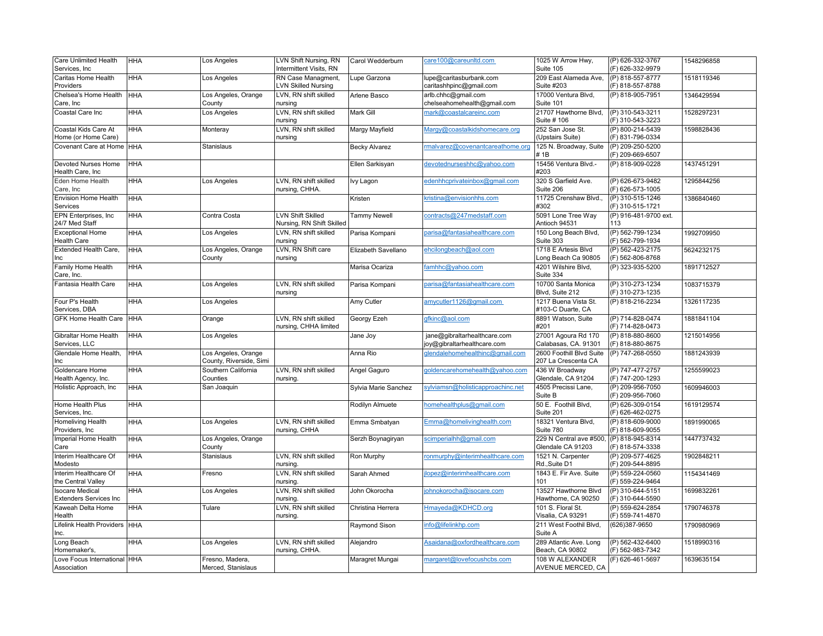| Care Unlimited Health<br>Services, Inc      | <b>HHA</b> | Los Angeles                                    | LVN Shift Nursing, RN<br>Intermittent Visits, RN | Carol Wedderburn     | care100@careunltd.com                                       | 1025 W Arrow Hwy,<br>Suite 105                  | (P) 626-332-3767<br>(F) 626-332-9979 | 1548296858 |
|---------------------------------------------|------------|------------------------------------------------|--------------------------------------------------|----------------------|-------------------------------------------------------------|-------------------------------------------------|--------------------------------------|------------|
| Caritas Home Health<br>Providers            | <b>HHA</b> | Los Angeles                                    | RN Case Managment,<br><b>LVN Skilled Nursing</b> | Lupe Garzona         | lupe@caritasburbank.com<br>caritashhpinc@gmail.com          | 209 East Alameda Ave,<br>Suite #203             | (P) 818-557-8777<br>(F) 818-557-8788 | 1518119346 |
| Chelsea's Home Health<br>Care, Inc          | <b>HHA</b> | Los Angeles, Orange<br>County                  | LVN. RN shift skilled<br>nursing                 | Arlene Basco         | arlb.chhc@gmail.com<br>chelseahomehealth@gmail.com          | 17000 Ventura Blvd,<br>Suite 101                | (P) 818-905-7951                     | 1346429594 |
| Coastal Care Inc                            | <b>HHA</b> | Los Angeles                                    | LVN, RN shift skilled<br>nursing                 | <b>Mark Gill</b>     | mark@coastalcareinc.com                                     | 21707 Hawthorne Blvd,<br>Suite # 106            | (P) 310-543-3211<br>(F) 310-543-3223 | 1528297231 |
| Coastal Kids Care At<br>Home (or Home Care) | <b>HHA</b> | Monteray                                       | LVN, RN shift skilled<br>nursing                 | Margy Mayfield       | Margy@coastalkidshomecare.org                               | 252 San Jose St.<br>(Upstairs Suite)            | (P) 800-214-5439<br>(F) 831-796-0334 | 1598828436 |
| Covenant Care at Home I HHA                 |            | Stanislaus                                     |                                                  | <b>Becky Alvarez</b> | malvarez@covenantcareathome.org                             | 125 N. Broadway, Suite<br>#1B                   | (P) 209-250-5200<br>(F) 209-669-6507 |            |
| Devoted Nurses Home<br>Health Care, Inc     | <b>HHA</b> |                                                |                                                  | Ellen Sarkisyan      | devotednurseshhc@yahoo.com                                  | 15456 Ventura Blvd.-<br>#203                    | (P) 818-909-0228                     | 1437451291 |
| Eden Home Health<br>Care, Inc               | <b>HHA</b> | Los Angeles                                    | LVN, RN shift skilled<br>nursing, CHHA.          | Ivy Lagon            | edenhhcprivateinbox@gmail.com                               | 320 S Garfield Ave.<br>Suite 206                | (P) 626-673-9482<br>(F) 626-573-1005 | 1295844256 |
| Envision Home Health<br>Services            | <b>HHA</b> |                                                |                                                  | Kristen              | kristina@envisionhhs.com                                    | 11725 Crenshaw Blvd.<br>#302                    | (P) 310-515-1246<br>(F) 310-515-1721 | 1386840460 |
| EPN Enterprises, Inc<br>24/7 Med Staff      | <b>HHA</b> | Contra Costa                                   | LVN Shift Skilled<br>Nursing, RN Shift Skilled   | <b>Tammy Newell</b>  | contracts@247medstaff.com                                   | 5091 Lone Tree Way<br>Antioch 94531             | (P) 916-481-9700 ext.<br>113         |            |
| <b>Exceptional Home</b><br>Health Care      | <b>HHA</b> | Los Angeles                                    | LVN, RN shift skilled<br>nursing                 | Parisa Kompani       | parisa@fantasiahealthcare.com                               | 150 Long Beach Blvd,<br>Suite 303               | (P) 562-799-1234<br>(F) 562-799-1934 | 1992709950 |
| Extended Health Care,<br>Inc                | <b>HHA</b> | Los Angeles, Orange<br>County                  | LVN, RN Shift care<br>nursing                    | Elizabeth Savellano  | ehcilongbeach@aol.com                                       | 1718 E Artesis Blvd<br>Long Beach Ca 90805      | (P) 562-423-2175<br>(F) 562-806-8768 | 5624232175 |
| Family Home Health<br>Care, Inc.            | <b>HHA</b> |                                                |                                                  | Marisa Ocariza       | amhhc@yahoo.com                                             | 4201 Wilshire Blvd,<br>Suite 334                | (P) 323-935-5200                     | 1891712527 |
| antasia Health Care                         | <b>HHA</b> | Los Angeles                                    | LVN, RN shift skilled<br>nursing                 | Parisa Kompani       | barisa@fantasiahealthcare.com                               | 10700 Santa Monica<br>Blvd, Suite 212           | (P) 310-273-1234<br>(F) 310-273-1235 | 1083715379 |
| Four P's Health<br>Services, DBA            | <b>HHA</b> | Los Angeles                                    |                                                  | Amy Cutler           | amycutler1126@gmail.com                                     | 1217 Buena Vista St.<br>#103-C Duarte, CA       | (P) 818-216-2234                     | 1326117235 |
| GFK Home Health Care HHA                    |            | Orange                                         | LVN. RN shift skilled<br>nursing, CHHA limited   | Georgy Ezeh          | gfkinc@aol.com                                              | 8891 Watson, Suite<br>#201                      | (P) 714-828-0474<br>(F) 714-828-0473 | 1881841104 |
| Gibraltar Home Health<br>Services, LLC      | <b>HHA</b> | Los Angeles                                    |                                                  | Jane Joy             | jane@gibraltarhealthcare.com<br>joy@gibraltarhealthcare.com | 27001 Agoura Rd 170<br>Calabasas, CA. 91301     | (P) 818-880-8600<br>(F) 818-880-8675 | 1215014956 |
| Glendale Home Health,<br>Inc                | <b>HHA</b> | Los Angeles, Orange<br>County, Riverside, Simi |                                                  | Anna Rio             | glendalehomehealthinc@gmail.com                             | 2600 Foothill Blvd Suite<br>207 La Crescenta CA | (P) 747-268-0550                     | 1881243939 |
| Goldencare Home<br>Health Agency, Inc.      | <b>HHA</b> | Southern California<br>Counties                | LVN, RN shift skilled<br>nursing.                | Angel Gaguro         | qoldencarehomehealth@yahoo.com                              | 436 W Broadway<br>Glendale, CA 91204            | (P) 747-477-2757<br>(F) 747-200-1293 | 1255599023 |
| Holistic Approach, Inc                      | <b>HHA</b> | San Joaquin                                    |                                                  | Sylvia Marie Sanchez | sylviamsn@holisticapproachinc.net                           | 4505 Precissi Lane,<br>Suite B                  | (P) 209-956-7050<br>(F) 209-956-7060 | 1609946003 |
| Home Health Plus<br>Services, Inc.          | <b>HHA</b> |                                                |                                                  | Rodilyn Almuete      | nomehealthplus@gmail.com                                    | 50 E. Foothill Blvd,<br>Suite 201               | (P) 626-309-0154<br>(F) 626-462-0275 | 1619129574 |
| <b>Homeliving Health</b><br>Providers, Inc  | <b>HHA</b> | Los Angeles                                    | LVN, RN shift skilled<br>nursing, CHHA           | Emma Smbatyan        | Emma@homelivinghealth.com                                   | 18321 Ventura Blvd,<br>Suite 780                | (P) 818-609-9000<br>(F) 818-609-9055 | 1891990065 |
| Imperial Home Health<br>Care                | <b>HHA</b> | Los Angeles, Orange<br>County                  |                                                  | Serzh Boynagiryan    | scimperialhh@gmail.com                                      | 229 N Central ave #500,<br>Glendale CA 91203    | (P) 818-945-8314<br>(F) 818-574-3338 | 1447737432 |
| Interim Healthcare Of<br>Modesto            | <b>HHA</b> | Stanislaus                                     | LVN, RN shift skilled<br>nursing.                | Ron Murphy           | onmurphy@interimhealthcare.com                              | 1521 N. Carpenter<br>Rd., Suite D1              | (P) 209-577-4625<br>(F) 209-544-8895 | 1902848211 |
| Interim Healthcare Of<br>the Central Valley | <b>HHA</b> | Fresno                                         | LVN, RN shift skilled<br>nursing.                | Sarah Ahmed          | lopez@interimhealthcare.com                                 | 1843 E. Fir Ave. Suite<br>101                   | (P) 559-224-0560<br>(F) 559-224-9464 | 1154341469 |
| socare Medical<br>Extenders Services Inc    | <b>HHA</b> | Los Angeles                                    | LVN, RN shift skilled<br>nursing.                | John Okorocha        | ohnokorocha@isocare.com                                     | 13527 Hawthorne Blvd<br>Hawthorne, CA 90250     | (P) 310-644-5151<br>(F) 310-644-5590 | 1699832261 |
| <b>Kaweah Delta Home</b><br>Health          | <b>HHA</b> | Tulare                                         | LVN, RN shift skilled<br>nursing.                | Christina Herrera    | Hmayeda@KDHCD.org                                           | 101 S. Floral St.<br>Visalia, CA 93291          | (P) 559-624-2854<br>(F) 559-741-4870 | 1790746378 |
| ifelink Health Providers HHA<br>Inc.        |            |                                                |                                                  | Raymond Sison        | nfo@lifelinkhp.com                                          | 211 West Foothil Blvd,<br>Suite A               | (626)387-9650                        | 1790980969 |
| Long Beach<br>Homemaker's,                  | <b>HHA</b> | Los Angeles                                    | LVN, RN shift skilled<br>nursing, CHHA.          | Alejandro            | Asaidana@oxfordhealthcare.com                               | 289 Atlantic Ave. Long<br>Beach, CA 90802       | (P) 562-432-6400<br>(F) 562-983-7342 | 1518990316 |
| ove Focus International HHA<br>Association  |            | Fresno, Madera,<br>Merced, Stanislaus          |                                                  | Maragret Mungai      | margaret@lovefocushcbs.com                                  | 108 W ALEXANDER<br>AVENUE MERCED, CA            | (F) 626-461-5697                     | 1639635154 |